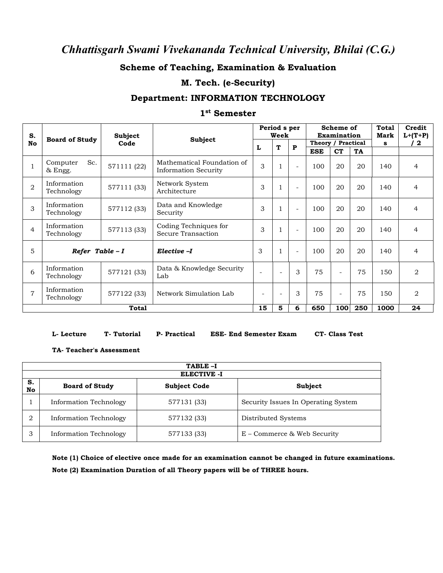### **Scheme of Teaching, Examination & Evaluation**

### **M. Tech. (e-Security)**

### **Department: INFORMATION TECHNOLOGY**

#### **1 st Semester**

| S.             |                            | <b>Subject</b> |                                                           | Period s per<br>Week   |                          |                          | Scheme of<br><b>Examination</b> |                          |           | Total<br>Mark | Credit<br>$L+(T+P)$ |
|----------------|----------------------------|----------------|-----------------------------------------------------------|------------------------|--------------------------|--------------------------|---------------------------------|--------------------------|-----------|---------------|---------------------|
| <b>No</b>      | <b>Board of Study</b>      | Code           | Subject                                                   | T<br>$\mathbf{P}$<br>L | Theory / Practical       |                          | s                               | 12                       |           |               |                     |
|                |                            |                |                                                           |                        |                          |                          | <b>ESE</b>                      | <b>CT</b>                | <b>TA</b> |               |                     |
|                | Sc.<br>Computer<br>& Engg. | 571111 (22)    | Mathematical Foundation of<br><b>Information Security</b> | 3                      |                          | $\overline{\phantom{a}}$ | 100                             | 20                       | 20        | 140           | $\overline{4}$      |
| $\overline{2}$ | Information<br>Technology  | 577111 (33)    | Network System<br>Architecture                            | 3                      |                          | $\sim$                   | 100                             | 20                       | 20        | 140           | $\overline{4}$      |
| 3              | Information<br>Technology  | 577112 (33)    | Data and Knowledge<br>Security                            | 3                      |                          | $\sim$                   | 100                             | 20                       | 20        | 140           | $\overline{4}$      |
| $\overline{4}$ | Information<br>Technology  | 577113 (33)    | Coding Techniques for<br>Secure Transaction               | 3                      |                          | $\overline{\phantom{a}}$ | 100                             | 20                       | 20        | 140           | 4                   |
| 5              | Refer Table $-I$           |                | Elective -I                                               | 3                      |                          | $\sim$                   | 100                             | 20                       | 20        | 140           | $\overline{4}$      |
| 6              | Information<br>Technology  | 577121 (33)    | Data & Knowledge Security<br>Lab                          | ÷.                     |                          | 3                        | 75                              | $\overline{\phantom{a}}$ | 75        | 150           | $\overline{2}$      |
| $\overline{7}$ | Information<br>Technology  | 577122 (33)    | Network Simulation Lab                                    | ۰                      | $\overline{\phantom{a}}$ | 3                        | 75                              | $\overline{\phantom{a}}$ | 75        | 150           | $\overline{2}$      |
|                |                            | <b>Total</b>   |                                                           | 15                     | 5                        | 6                        | 650                             | 100                      | 250       | 1000          | 24                  |

#### **L- Lecture T- Tutorial P- Practical ESE- End Semester Exam CT- Class Test**

#### **TA- Teacher's Assessment**

|          | TABLE-I<br><b>ELECTIVE -I</b> |                     |                                     |  |  |  |  |  |  |  |
|----------|-------------------------------|---------------------|-------------------------------------|--|--|--|--|--|--|--|
| S.<br>No | <b>Board of Study</b>         | <b>Subject Code</b> | Subject                             |  |  |  |  |  |  |  |
|          | Information Technology        | 577131 (33)         | Security Issues In Operating System |  |  |  |  |  |  |  |
|          | Information Technology        | 577132 (33)         | Distributed Systems                 |  |  |  |  |  |  |  |
|          | Information Technology        | 577133 (33)         | E – Commerce & Web Security         |  |  |  |  |  |  |  |

**Note (1) Choice of elective once made for an examination cannot be changed in future examinations. Note (2) Examination Duration of all Theory papers will be of THREE hours.**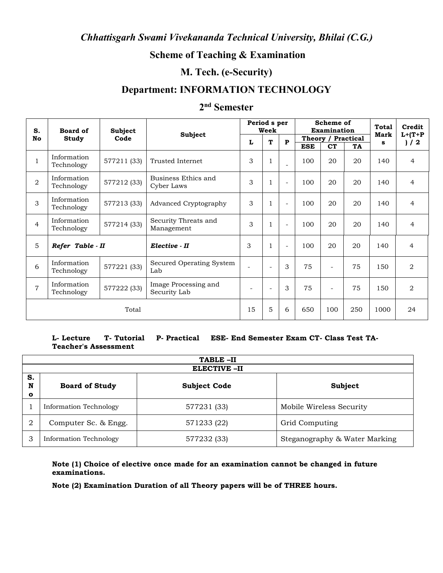## **Scheme of Teaching & Examination**

### **M. Tech. (e-Security)**

## **Department: INFORMATION TECHNOLOGY**

### **2 nd Semester**

| S.             | Board of                  | <b>Subject</b> | Subject                              | Period s per<br>Week     |                          |                          | Scheme of<br><b>Examination</b> | <b>Total</b><br>Mark            | Credit<br>$L+ (T+P)$ |      |                |
|----------------|---------------------------|----------------|--------------------------------------|--------------------------|--------------------------|--------------------------|---------------------------------|---------------------------------|----------------------|------|----------------|
| <b>No</b>      | Study                     | Code           |                                      | L                        | T                        | P                        | <b>ESE</b>                      | Theory / Practical<br><b>CT</b> | TA                   | s    | ) / 2          |
|                | Information<br>Technology | 577211 (33)    | Trusted Internet                     | 3                        | $\mathbf{1}$             |                          | 100                             | 20                              | 20                   | 140  | $\overline{4}$ |
| $\overline{2}$ | Information<br>Technology | 577212 (33)    | Business Ethics and<br>Cyber Laws    | 3                        | $\mathbf{1}$             | $\sim$                   | 100                             | 20                              | 20                   | 140  | $\overline{4}$ |
| 3              | Information<br>Technology | 577213 (33)    | <b>Advanced Cryptography</b>         | 3                        | $\mathbf{1}$             | $\overline{\phantom{a}}$ | 100                             | 20                              | 20                   | 140  | $\overline{4}$ |
| $\overline{4}$ | Information<br>Technology | 577214 (33)    | Security Threats and<br>Management   | 3                        | $\mathbf{1}$             | ۰                        | 100                             | 20                              | 20                   | 140  | $\overline{4}$ |
| 5              | Refer Table - II          |                | Elective - II                        | 3                        |                          |                          | 100                             | 20                              | 20                   | 140  | $\overline{4}$ |
| 6              | Information<br>Technology | 577221 (33)    | Secured Operating System<br>Lab      |                          | $\overline{\phantom{a}}$ | 3                        | 75                              | $\overline{\phantom{a}}$        | 75                   | 150  | $\overline{2}$ |
| $\overline{7}$ | Information<br>Technology | 577222 (33)    | Image Processing and<br>Security Lab | $\overline{\phantom{a}}$ | $\overline{\phantom{a}}$ | 3                        | 75                              | $\overline{\phantom{a}}$        | 75                   | 150  | $\overline{2}$ |
|                |                           | Total          |                                      | 15                       | 5                        | 6                        | 650                             | 100                             | 250                  | 1000 | 24             |

#### **L- Lecture T- Tutorial P- Practical ESE- End Semester Exam CT- Class Test TA-Teacher's Assessment**

|                        | TABLE-II               |                     |                               |  |  |  |  |  |  |
|------------------------|------------------------|---------------------|-------------------------------|--|--|--|--|--|--|
|                        | <b>ELECTIVE -II</b>    |                     |                               |  |  |  |  |  |  |
| S.<br>N<br>$\mathbf o$ | <b>Board of Study</b>  | <b>Subject Code</b> | Subject                       |  |  |  |  |  |  |
|                        | Information Technology | 577231 (33)         | Mobile Wireless Security      |  |  |  |  |  |  |
| 2                      | Computer Sc. & Engg.   | 571233 (22)         | Grid Computing                |  |  |  |  |  |  |
| 3                      | Information Technology | 577232 (33)         | Steganography & Water Marking |  |  |  |  |  |  |

**Note (1) Choice of elective once made for an examination cannot be changed in future examinations.**

**Note (2) Examination Duration of all Theory papers will be of THREE hours.**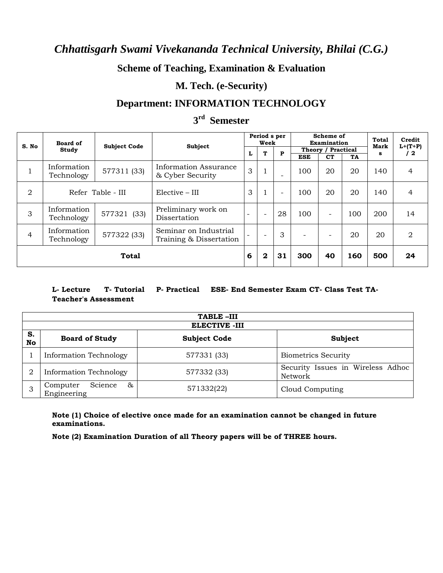## **Scheme of Teaching, Examination & Evaluation**

## **M. Tech. (e-Security)**

# **Department: INFORMATION TECHNOLOGY**

## **3 rd Semester**

| S. No          | Board of                                                                                     |                     | Subject<br>Information Assurance<br>& Cyber Security |   | Period s per<br>Week     |                          | Scheme of<br>Examination |                          |                 | <b>Total</b><br>Mark<br>s | Credit            |
|----------------|----------------------------------------------------------------------------------------------|---------------------|------------------------------------------------------|---|--------------------------|--------------------------|--------------------------|--------------------------|-----------------|---------------------------|-------------------|
|                | Study                                                                                        | <b>Subject Code</b> |                                                      |   | T                        | $\mathbf{P}$             | Theory / Practical       |                          |                 |                           | $L+ (T+P)$<br>/ 2 |
|                | Information<br>Technology                                                                    | 577311 (33)         |                                                      |   |                          |                          | <b>ESE</b><br>100        | <b>CT</b><br>20          | <b>TA</b><br>20 | 140                       | 4                 |
| 2              | Refer Table - III                                                                            |                     | $Elective - III$                                     | 3 |                          | $\overline{\phantom{a}}$ | 100                      | 20                       | 20              | 140                       | 4                 |
| 3              | Information<br>Technology                                                                    | 577321 (33)         | Preliminary work on<br>Dissertation                  |   | $\overline{\phantom{0}}$ | 28                       | 100                      | $\overline{\phantom{0}}$ | 100             | 200                       | 14                |
| $\overline{4}$ | Seminar on Industrial<br>Information<br>577322 (33)<br>Technology<br>Training & Dissertation |                     |                                                      |   | 3                        | $\overline{\phantom{a}}$ |                          | 20                       | 20              | 2                         |                   |
| <b>Total</b>   |                                                                                              |                     |                                                      | 6 | $\mathbf{2}$             | 31                       | 300                      | 40                       | 160             | 500                       | 24                |

### **L- Lecture T- Tutorial P- Practical ESE- End Semester Exam CT- Class Test TA-Teacher's Assessment**

|          | TABLE-III                               |                     |                                              |  |  |  |  |  |  |  |  |
|----------|-----------------------------------------|---------------------|----------------------------------------------|--|--|--|--|--|--|--|--|
|          | <b>ELECTIVE -III</b>                    |                     |                                              |  |  |  |  |  |  |  |  |
| S.<br>No | <b>Board of Study</b>                   | <b>Subject Code</b> | Subject                                      |  |  |  |  |  |  |  |  |
|          | <b>Information Technology</b>           | 577331 (33)         | <b>Biometrics Security</b>                   |  |  |  |  |  |  |  |  |
| 2        | <b>Information Technology</b>           | 577332 (33)         | Security Issues in Wireless Adhoc<br>Network |  |  |  |  |  |  |  |  |
|          | Science<br>&<br>Computer<br>Engineering | 571332(22)          | Cloud Computing                              |  |  |  |  |  |  |  |  |

**Note (1) Choice of elective once made for an examination cannot be changed in future examinations.** 

**Note (2) Examination Duration of all Theory papers will be of THREE hours.**